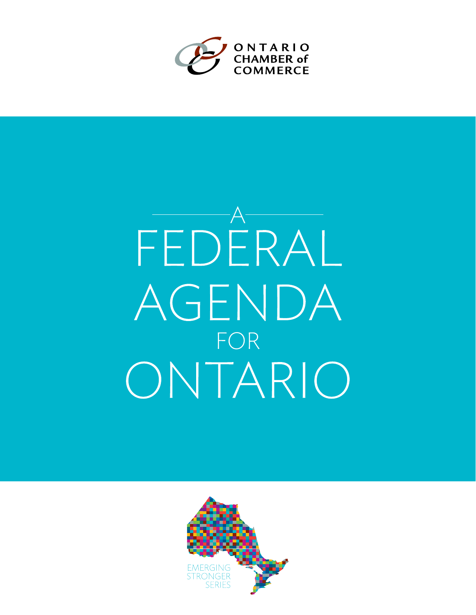

# FEDERAL AGENDA FOR ONTARIO

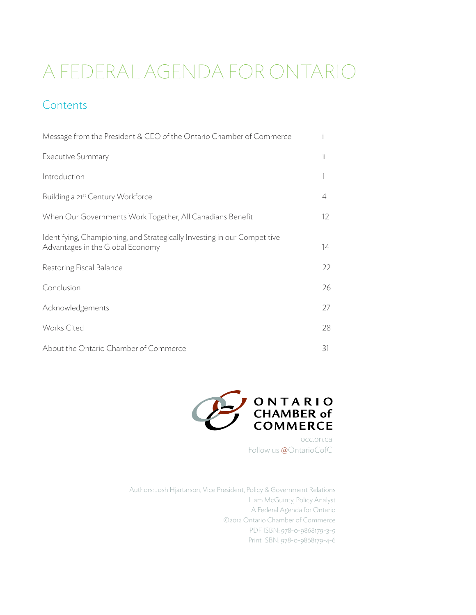# A Federal Agenda for Ontario

## **Contents**

| Message from the President & CEO of the Ontario Chamber of Commerce                                          |                   |
|--------------------------------------------------------------------------------------------------------------|-------------------|
| <b>Executive Summary</b>                                                                                     | ïi                |
| Introduction                                                                                                 |                   |
| Building a 21 <sup>st</sup> Century Workforce                                                                | 4                 |
| When Our Governments Work Together, All Canadians Benefit                                                    | $12 \overline{ }$ |
| Identifying, Championing, and Strategically Investing in our Competitive<br>Advantages in the Global Economy | 14                |
| Restoring Fiscal Balance                                                                                     | 22                |
| Conclusion                                                                                                   | 26                |
| Acknowledgements                                                                                             | 27                |
| <b>Works Cited</b>                                                                                           | 28                |
| About the Ontario Chamber of Commerce                                                                        | 31                |



occ.on.ca Follow us @OntarioCofC

Authors: Josh Hjartarson, Vice President, Policy & Government Relations Liam McGuinty, Policy Analyst A Federal Agenda for Ontario ©2012 Ontario Chamber of Commerce PDF ISBN: 978-0-9868179-3-9 Print ISBN: 978-0-9868179-4-6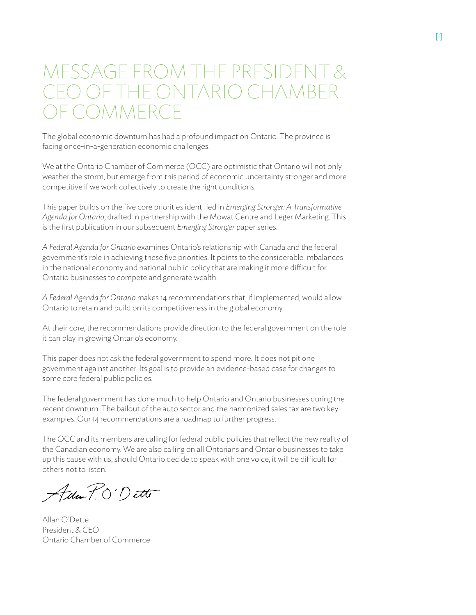# MESSAGE FROM THE PRESIDENT & CEO OF THE ONTARIO CHAMBER F COMMERCE

The global economic downturn has had a profound impact on Ontario. The province is facing once-in-a-generation economic challenges.

We at the Ontario Chamber of Commerce (OCC) are optimistic that Ontario will not only weather the storm, but emerge from this period of economic uncertainty stronger and more competitive if we work collectively to create the right conditions.

This paper builds on the five core priorities identified in *Emerging Stronger: A Transformative Agenda for Ontario*, drafted in partnership with the Mowat Centre and Leger Marketing. This is the first publication in our subsequent *Emerging Stronger* paper series.

*A Federal Agenda for Ontario* examines Ontario's relationship with Canada and the federal government's role in achieving these five priorities. It points to the considerable imbalances in the national economy and national public policy that are making it more difficult for Ontario businesses to compete and generate wealth.

*A Federal Agenda for Ontario* makes 14 recommendations that, if implemented, would allow Ontario to retain and build on its competitiveness in the global economy.

At their core, the recommendations provide direction to the federal government on the role it can play in growing Ontario's economy.

This paper does not ask the federal government to spend more. It does not pit one government against another. Its goal is to provide an evidence-based case for changes to some core federal public policies.

The federal government has done much to help Ontario and Ontario businesses during the recent downturn. The bailout of the auto sector and the harmonized sales tax are two key examples. Our 14 recommendations are a roadmap to further progress.

The OCC and its members are calling for federal public policies that reflect the new reality of the Canadian economy. We are also calling on all Ontarians and Ontario businesses to take up this cause with us; should Ontario decide to speak with one voice, it will be difficult for others not to listen.

Ada P.O'Dette

Allan O'Dette President & CEO Ontario Chamber of Commerce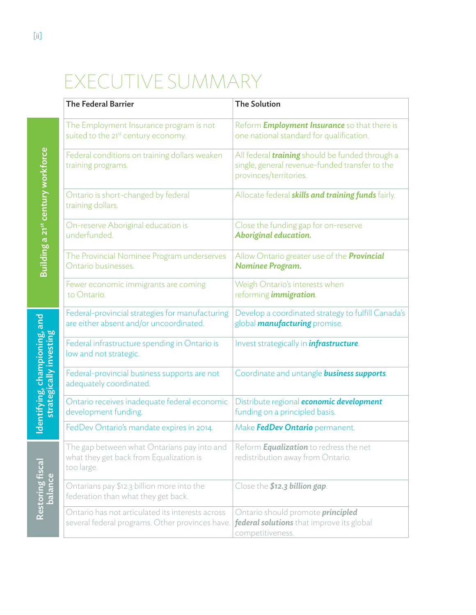# EXECUTIVE SUMMARY

|                                                         | <b>The Federal Barrier</b>                                                                           | <b>The Solution</b>                                                                                                                |  |
|---------------------------------------------------------|------------------------------------------------------------------------------------------------------|------------------------------------------------------------------------------------------------------------------------------------|--|
|                                                         |                                                                                                      |                                                                                                                                    |  |
| Building a 21st century workforce                       | The Employment Insurance program is not<br>suited to the 21st century economy.                       | Reform <b>Employment Insurance</b> so that there is<br>one national standard for qualification.                                    |  |
|                                                         | Federal conditions on training dollars weaken<br>training programs.                                  | All federal <i>training</i> should be funded through a<br>single, general revenue-funded transfer to the<br>provinces/territories. |  |
|                                                         | Ontario is short-changed by federal<br>training dollars.                                             | Allocate federal skills and training funds fairly.                                                                                 |  |
|                                                         | On-reserve Aboriginal education is<br>underfunded.                                                   | Close the funding gap for on-reserve<br>Aboriginal education.                                                                      |  |
|                                                         | The Provincial Nominee Program underserves<br>Ontario businesses.                                    | Allow Ontario greater use of the <b>Provincial</b><br>Nominee Program.                                                             |  |
|                                                         | Fewer economic immigrants are coming<br>to Ontario.                                                  | Weigh Ontario's interests when<br>reforming <i>immigration</i> .                                                                   |  |
| dentifying, championing, and<br>strategically investing | Federal-provincial strategies for manufacturing<br>are either absent and/or uncoordinated.           | Develop a coordinated strategy to fulfill Canada's<br>global <i>manufacturing</i> promise.                                         |  |
|                                                         | Federal infrastructure spending in Ontario is<br>low and not strategic.                              | Invest strategically in <i>infrastructure</i> .                                                                                    |  |
|                                                         | Federal-provincial business supports are not<br>adequately coordinated.                              | Coordinate and untangle <b>business supports</b> .                                                                                 |  |
|                                                         | Ontario receives inadequate federal economic<br>development funding.                                 | Distribute regional <i>economic development</i><br>funding on a principled basis.                                                  |  |
|                                                         | FedDev Ontario's mandate expires in 2014.                                                            | Make <b>FedDev Ontario</b> permanent.                                                                                              |  |
| Restoring fiscal<br>balance                             | The gap between what Ontarians pay into and<br>what they get back from Equalization is<br>too large. | Reform <b>Equalization</b> to redress the net<br>redistribution away from Ontario.                                                 |  |
|                                                         | Ontarians pay \$12.3 billion more into the<br>federation than what they get back.                    | Close the \$12.3 billion gap.                                                                                                      |  |
|                                                         | Ontario has not articulated its interests across<br>several federal programs. Other provinces have.  | Ontario should promote <i>principled</i><br>federal solutions that improve its global<br>competitiveness.                          |  |

Restoring fiscal Identifying, championing, and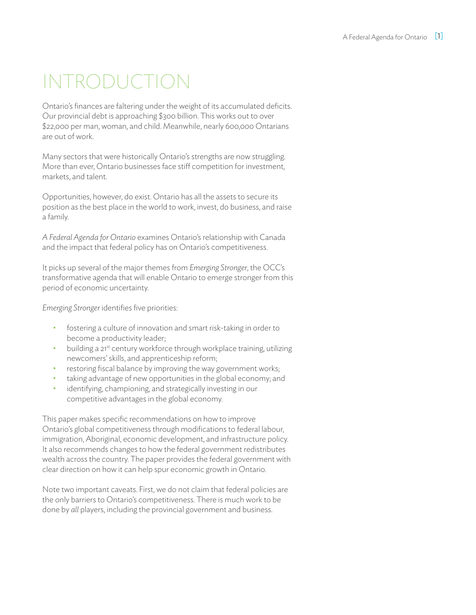# INTRODUCTION

Ontario's finances are faltering under the weight of its accumulated deficits. Our provincial debt is approaching \$300 billion. This works out to over \$22,000 per man, woman, and child. Meanwhile, nearly 600,000 Ontarians are out of work.

Many sectors that were historically Ontario's strengths are now struggling. More than ever, Ontario businesses face stiff competition for investment, markets, and talent.

Opportunities, however, do exist. Ontario has all the assets to secure its position as the best place in the world to work, invest, do business, and raise a family.

*A Federal Agenda for Ontario* examines Ontario's relationship with Canada and the impact that federal policy has on Ontario's competitiveness.

It picks up several of the major themes from *Emerging Stronger*, the OCC's transformative agenda that will enable Ontario to emerge stronger from this period of economic uncertainty.

*Emerging Stronger* identifies five priorities:

- fostering a culture of innovation and smart risk-taking in order to become a productivity leader;
- building a 21<sup>st</sup> century workforce through workplace training, utilizing newcomers' skills, and apprenticeship reform;
- restoring fiscal balance by improving the way government works;
- taking advantage of new opportunities in the global economy; and
- identifying, championing, and strategically investing in our competitive advantages in the global economy.

This paper makes specific recommendations on how to improve Ontario's global competitiveness through modifications to federal labour, immigration, Aboriginal, economic development, and infrastructure policy. It also recommends changes to how the federal government redistributes wealth across the country. The paper provides the federal government with clear direction on how it can help spur economic growth in Ontario.

Note two important caveats. First, we do not claim that federal policies are the only barriers to Ontario's competitiveness. There is much work to be done by *all* players, including the provincial government and business.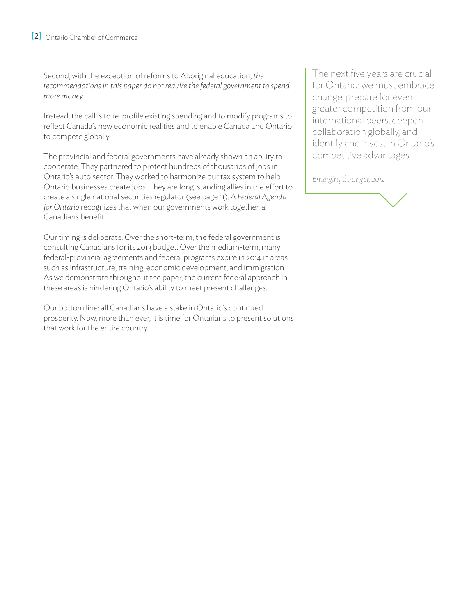Second, with the exception of reforms to Aboriginal education, *the recommendations in this paper do not require the federal government to spend more money.*

Instead, the call is to re-profile existing spending and to modify programs to reflect Canada's new economic realities and to enable Canada and Ontario to compete globally.

The provincial and federal governments have already shown an ability to cooperate. They partnered to protect hundreds of thousands of jobs in Ontario's auto sector. They worked to harmonize our tax system to help Ontario businesses create jobs. They are long-standing allies in the effort to create a single national securities regulator (see page 11). *A Federal Agenda for Ontario* recognizes that when our governments work together, all Canadians benefit.

Our timing is deliberate. Over the short-term, the federal government is consulting Canadians for its 2013 budget. Over the medium-term, many federal-provincial agreements and federal programs expire in 2014 in areas such as infrastructure, training, economic development, and immigration. As we demonstrate throughout the paper, the current federal approach in these areas is hindering Ontario's ability to meet present challenges.

Our bottom line: all Canadians have a stake in Ontario's continued prosperity. Now, more than ever, it is time for Ontarians to present solutions that work for the entire country.

The next five years are crucial for Ontario: we must embrace change, prepare for even greater competition from our international peers, deepen collaboration globally, and identify and invest in Ontario's competitive advantages.

*Emerging Stronger, 2012*

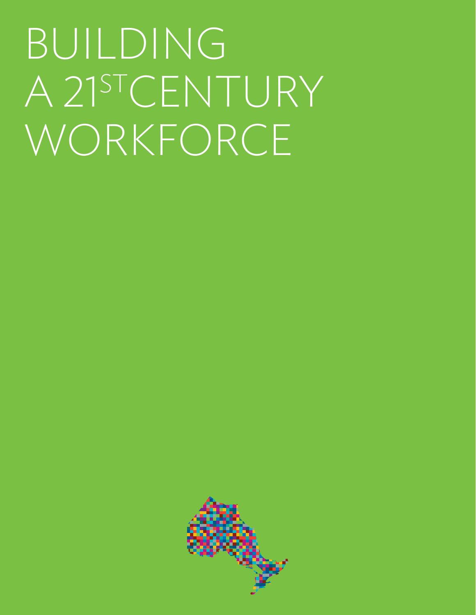# BUILDING A 21<sup>ST</sup>CENTURY WORKFORCE

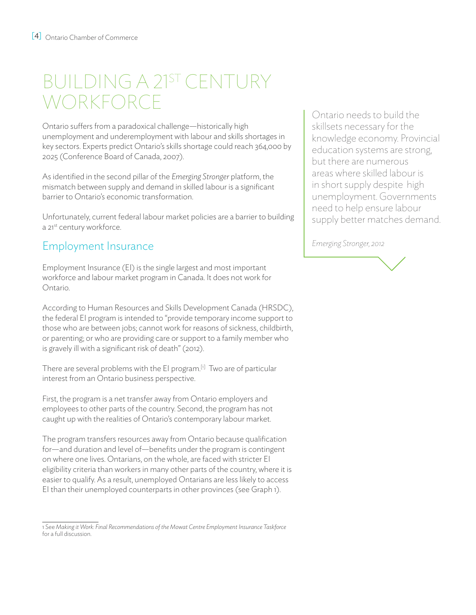# BUILDING A 21st CENTURY **WORKFORCE**

Ontario suffers from a paradoxical challenge—historically high unemployment and underemployment with labour and skills shortages in key sectors. Experts predict Ontario's skills shortage could reach 364,000 by 2025 (Conference Board of Canada, 2007).

As identified in the second pillar of the *Emerging Stronger* platform, the mismatch between supply and demand in skilled labour is a significant barrier to Ontario's economic transformation.

Unfortunately, current federal labour market policies are a barrier to building a 21<sup>st</sup> century workforce.

## Employment Insurance

Employment Insurance (EI) is the single largest and most important workforce and labour market program in Canada. It does not work for Ontario.

According to Human Resources and Skills Development Canada (HRSDC), the federal EI program is intended to "provide temporary income support to those who are between jobs; cannot work for reasons of sickness, childbirth, or parenting; or who are providing care or support to a family member who is gravely ill with a significant risk of death" (2012).

There are several problems with the EI program.<sup>[1]</sup> Two are of particular interest from an Ontario business perspective.

First, the program is a net transfer away from Ontario employers and employees to other parts of the country. Second, the program has not caught up with the realities of Ontario's contemporary labour market.

The program transfers resources away from Ontario because qualification for—and duration and level of—benefits under the program is contingent on where one lives. Ontarians, on the whole, are faced with stricter EI eligibility criteria than workers in many other parts of the country, where it is easier to qualify. As a result, unemployed Ontarians are less likely to access EI than their unemployed counterparts in other provinces (see Graph 1).

Ontario needs to build the skillsets necessary for the knowledge economy. Provincial education systems are strong, but there are numerous areas where skilled labour is in short supply despite high unemployment. Governments need to help ensure labour supply better matches demand.

*Emerging Stronger, 2012*



<sup>1</sup> See *Making it Work: Final Recommendations of the Mowat Centre Employment Insurance Taskforce* for a full discussion.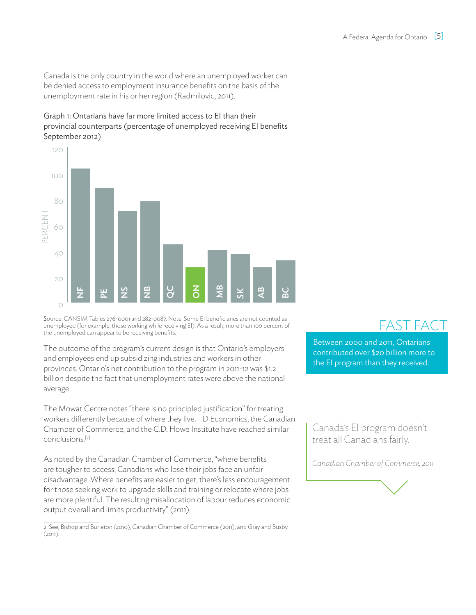Canada is the only country in the world where an unemployed worker can be denied access to employment insurance benefits on the basis of the unemployment rate in his or her region (Radmilovic, 2011).

#### Graph 1: Ontarians have far more limited access to EI than their provincial counterparts (percentage of unemployed receiving EI benefits September 2012)



Source: CANSIM Tables 276-0001 and 282-0087. Note: Some EI beneficiaries are not counted as unemployed (for example, those working while receiving EI). As a result, more than 100 percent of the unemployed can appear to be receiving benefits.

The outcome of the program's current design is that Ontario's employers and employees end up subsidizing industries and workers in other provinces. Ontario's net contribution to the program in 2011-12 was \$1.2 billion despite the fact that unemployment rates were above the national average.

The Mowat Centre notes "there is no principled justification" for treating workers differently because of where they live. TD Economics, the Canadian Chamber of Commerce, and the C.D. Howe Institute have reached similar conclusions.[2]

As noted by the Canadian Chamber of Commerce, "where benefits are tougher to access, Canadians who lose their jobs face an unfair disadvantage. Where benefits are easier to get, there's less encouragement for those seeking work to upgrade skills and training or relocate where jobs are more plentiful. The resulting misallocation of labour reduces economic output overall and limits productivity" (2011).

2 See, Bishop and Burleton (2010), Canadian Chamber of Commerce (2011), and Gray and Busby  $(2011).$ 

# FAST FAC

Between 2000 and 2011, Ontarians contributed over \$20 billion more to the EI program than they received.

Canada's EI program doesn't treat all Canadians fairly.

*Canadian Chamber of Commerce, 2011*

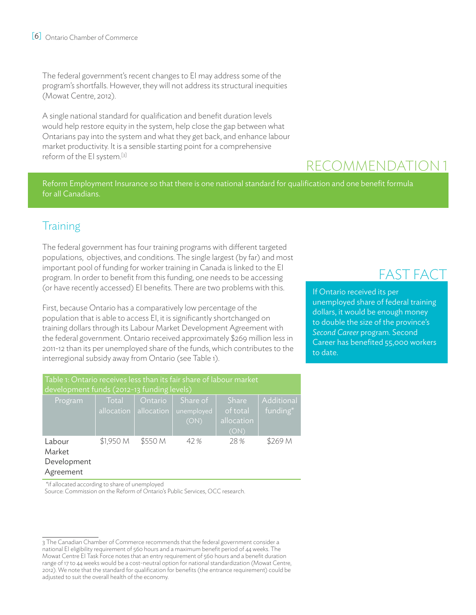The federal government's recent changes to EI may address some of the program's shortfalls. However, they will not address its structural inequities (Mowat Centre, 2012).

A single national standard for qualification and benefit duration levels would help restore equity in the system, help close the gap between what Ontarians pay into the system and what they get back, and enhance labour market productivity. It is a sensible starting point for a comprehensive reform of the EI system.[3]

# Recommendation 1

Reform Employment Insurance so that there is one national standard for qualification and one benefit formula for all Canadians.

## **Training**

The federal government has four training programs with different targeted populations, objectives, and conditions. The single largest (by far) and most important pool of funding for worker training in Canada is linked to the EI program. In order to benefit from this funding, one needs to be accessing (or have recently accessed) EI benefits. There are two problems with this.

First, because Ontario has a comparatively low percentage of the population that is able to access EI, it is significantly shortchanged on training dollars through its Labour Market Development Agreement with the federal government. Ontario received approximately \$269 million less in 2011-12 than its per unemployed share of the funds, which contributes to the interregional subsidy away from Ontario (see Table 1).

| Table 1: Ontario receives less than its fair share of labour market<br>development funds (2012-13 funding levels) |                     |                       |                                |                                                |                        |
|-------------------------------------------------------------------------------------------------------------------|---------------------|-----------------------|--------------------------------|------------------------------------------------|------------------------|
| Program                                                                                                           | Total<br>allocation | Ontario<br>allocation | Share of<br>unemployed<br>(ON) | <b>Share</b><br>of total<br>allocation<br>(ON) | Additional<br>funding* |
| Labour<br>Market<br>Development<br>Agreement                                                                      | \$1,950 M           | \$550 M               | 42%                            | 28%                                            | \$269 M                |

\*if allocated according to share of unemployed

Source: Commission on the Reform of Ontario's Public Services, OCC research.

## FAST FACT

If Ontario received its per unemployed share of federal training dollars, it would be enough money to double the size of the province's *Second Career* program. Second Career has benefited 55,000 workers to date.

<sup>3</sup> The Canadian Chamber of Commerce recommends that the federal government consider a national EI eligibility requirement of 560 hours and a maximum benefit period of 44 weeks. The Mowat Centre EI Task Force notes that an entry requirement of 560 hours and a benefit duration range of 17 to 44 weeks would be a cost-neutral option for national standardization (Mowat Centre, 2012). We note that the standard for qualification for benefits (the entrance requirement) could be adjusted to suit the overall health of the economy.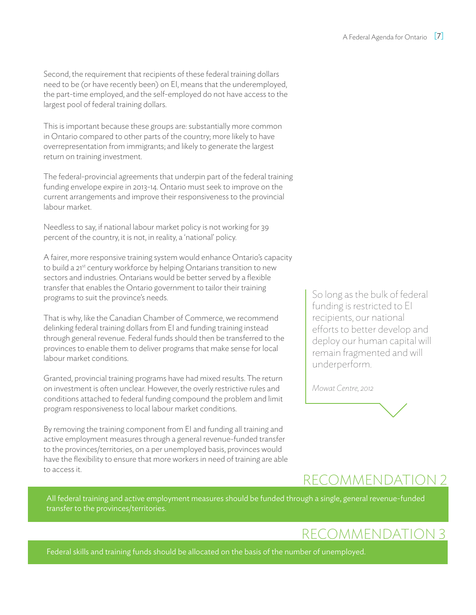Second, the requirement that recipients of these federal training dollars need to be (or have recently been) on EI, means that the underemployed, the part-time employed, and the self-employed do not have access to the largest pool of federal training dollars.

This is important because these groups are: substantially more common in Ontario compared to other parts of the country; more likely to have overrepresentation from immigrants; and likely to generate the largest return on training investment.

The federal-provincial agreements that underpin part of the federal training funding envelope expire in 2013-14. Ontario must seek to improve on the current arrangements and improve their responsiveness to the provincial labour market.

Needless to say, if national labour market policy is not working for 39 percent of the country, it is not, in reality, a 'national' policy.

A fairer, more responsive training system would enhance Ontario's capacity to build a 21<sup>st</sup> century workforce by helping Ontarians transition to new sectors and industries. Ontarians would be better served by a flexible transfer that enables the Ontario government to tailor their training programs to suit the province's needs.

That is why, like the Canadian Chamber of Commerce, we recommend delinking federal training dollars from EI and funding training instead through general revenue. Federal funds should then be transferred to the provinces to enable them to deliver programs that make sense for local labour market conditions.

Granted, provincial training programs have had mixed results. The return on investment is often unclear. However, the overly restrictive rules and conditions attached to federal funding compound the problem and limit program responsiveness to local labour market conditions.

By removing the training component from EI and funding all training and active employment measures through a general revenue-funded transfer to the provinces/territories, on a per unemployed basis, provinces would have the flexibility to ensure that more workers in need of training are able to access it.

So long as the bulk of federal funding is restricted to EI recipients, our national efforts to better develop and deploy our human capital will remain fragmented and will underperform.

*Mowat Centre, 2012*

# Recommendation 2

All federal training and active employment measures should be funded through a single, general revenue-funded transfer to the provinces/territories.

# Recommendation 3

Federal skills and training funds should be allocated on the basis of the number of unemployed.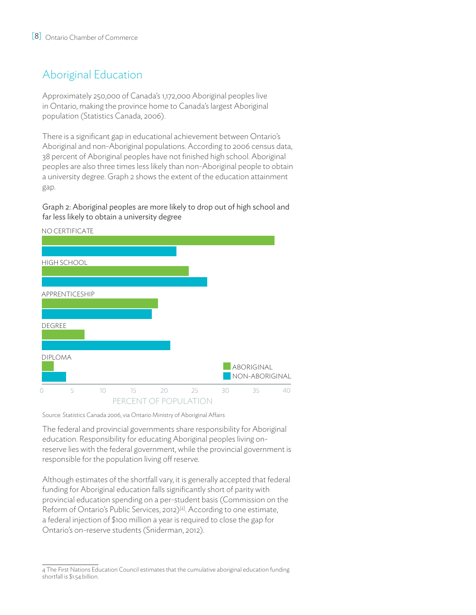## Aboriginal Education

Approximately 250,000 of Canada's 1,172,000 Aboriginal peoples live in Ontario, making the province home to Canada's largest Aboriginal population (Statistics Canada, 2006).

There is a significant gap in educational achievement between Ontario's Aboriginal and non-Aboriginal populations. According to 2006 census data, 38 percent of Aboriginal peoples have not finished high school. Aboriginal peoples are also three times less likely than non-Aboriginal people to obtain a university degree. Graph 2 shows the extent of the education attainment gap.

Graph 2: Aboriginal peoples are more likely to drop out of high school and far less likely to obtain a university degree



Source: Statistics Canada 2006, via Ontario Ministry of Aboriginal Affairs

The federal and provincial governments share responsibility for Aboriginal education. Responsibility for educating Aboriginal peoples living onreserve lies with the federal government, while the provincial government is responsible for the population living off reserve.

Although estimates of the shortfall vary, it is generally accepted that federal funding for Aboriginal education falls significantly short of parity with provincial education spending on a per-student basis (Commission on the Reform of Ontario's Public Services, 2012)<sup>[4]</sup>. According to one estimate, a federal injection of \$100 million a year is required to close the gap for Ontario's on-reserve students (Sniderman, 2012).

<sup>4</sup> The First Nations Education Council estimates that the cumulative aboriginal education funding shortfall is \$1.54 billion.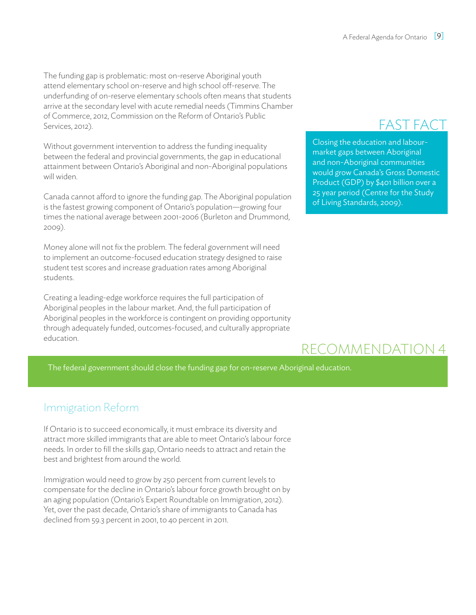The funding gap is problematic: most on-reserve Aboriginal youth attend elementary school on-reserve and high school off-reserve. The underfunding of on-reserve elementary schools often means that students arrive at the secondary level with acute remedial needs (Timmins Chamber of Commerce, 2012, Commission on the Reform of Ontario's Public Services, 2012).

Without government intervention to address the funding inequality between the federal and provincial governments, the gap in educational attainment between Ontario's Aboriginal and non-Aboriginal populations will widen.

Canada cannot afford to ignore the funding gap. The Aboriginal population is the fastest growing component of Ontario's population—growing four times the national average between 2001-2006 (Burleton and Drummond, 2009).

Money alone will not fix the problem. The federal government will need to implement an outcome-focused education strategy designed to raise student test scores and increase graduation rates among Aboriginal students.

Creating a leading-edge workforce requires the full participation of Aboriginal peoples in the labour market. And, the full participation of Aboriginal peoples in the workforce is contingent on providing opportunity through adequately funded, outcomes-focused, and culturally appropriate education.

# FAST FACT

Closing the education and labourmarket gaps between Aboriginal and non-Aboriginal communities would grow Canada's Gross Domestic Product (GDP) by \$401 billion over a 25 year period (Centre for the Study of Living Standards, 2009).

# REcommendation 4

The federal government should close the funding gap for on-reserve Aboriginal education.

## Immigration Reform

If Ontario is to succeed economically, it must embrace its diversity and attract more skilled immigrants that are able to meet Ontario's labour force needs. In order to fill the skills gap, Ontario needs to attract and retain the best and brightest from around the world.

Immigration would need to grow by 250 percent from current levels to compensate for the decline in Ontario's labour force growth brought on by an aging population (Ontario's Expert Roundtable on Immigration, 2012). Yet, over the past decade, Ontario's share of immigrants to Canada has declined from 59.3 percent in 2001, to 40 percent in 2011.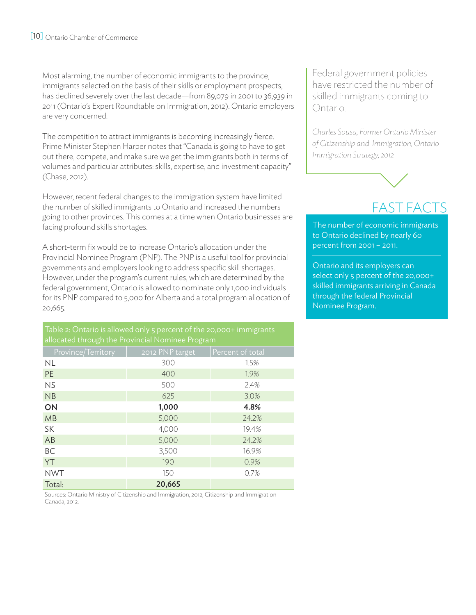Most alarming, the number of economic immigrants to the province, immigrants selected on the basis of their skills or employment prospects, has declined severely over the last decade—from 89,079 in 2001 to 36,939 in 2011 (Ontario's Expert Roundtable on Immigration, 2012). Ontario employers are very concerned.

The competition to attract immigrants is becoming increasingly fierce. Prime Minister Stephen Harper notes that "Canada is going to have to get out there, compete, and make sure we get the immigrants both in terms of volumes and particular attributes: skills, expertise, and investment capacity" (Chase, 2012).

However, recent federal changes to the immigration system have limited the number of skilled immigrants to Ontario and increased the numbers going to other provinces. This comes at a time when Ontario businesses are facing profound skills shortages.

A short-term fix would be to increase Ontario's allocation under the Provincial Nominee Program (PNP). The PNP is a useful tool for provincial governments and employers looking to address specific skill shortages. However, under the program's current rules, which are determined by the federal government, Ontario is allowed to nominate only 1,000 individuals for its PNP compared to 5,000 for Alberta and a total program allocation of 20,665.

Table 2: Ontario is allowed only 5 percent of the 20,000+ immigrants allocated through the Provincial Nominee Program

| Province/Territory | 2012 PNP target | Percent of total |
|--------------------|-----------------|------------------|
| <b>NL</b>          | 300             | 1.5%             |
| <b>PE</b>          | 400             | 1.9%             |
| <b>NS</b>          | 500             | 2.4%             |
| NB                 | 625             | 3.0%             |
| ON                 | 1,000           | 4.8%             |
| <b>MB</b>          | 5,000           | 24.2%            |
| SK                 | 4,000           | 19.4%            |
| AB                 | 5,000           | 24.2%            |
| BC                 | 3,500           | 16.9%            |
| YT                 | 190             | 0.9%             |
| <b>NWT</b>         | 150             | 0.7%             |
| Total:             | 20,665          |                  |

Sources: Ontario Ministry of Citizenship and Immigration, 2012, Citizenship and Immigration Canada, 2012.

Federal government policies have restricted the number of skilled immigrants coming to Ontario.

*Charles Sousa, Former Ontario Minister of Citizenship and Immigration, Ontario Immigration Strategy, 2012*



# FAST FACTs

The number of economic immigrants to Ontario declined by nearly 60 percent from 2001 – 2011.

Ontario and its employers can select only 5 percent of the 20,000+ skilled immigrants arriving in Canada through the federal Provincial Nominee Program.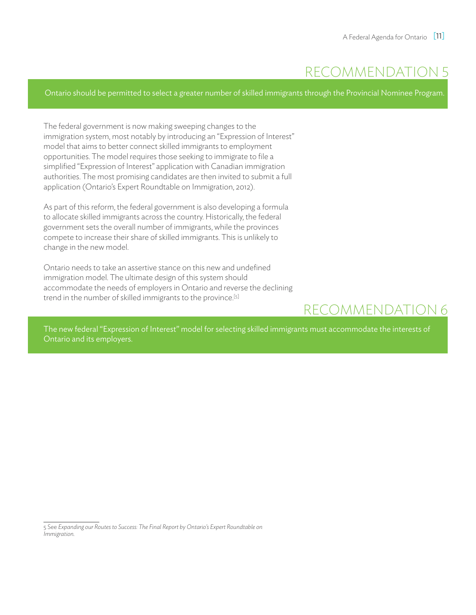# REcommendation 5

Ontario should be permitted to select a greater number of skilled immigrants through the Provincial Nominee Program.

The federal government is now making sweeping changes to the immigration system, most notably by introducing an "Expression of Interest" model that aims to better connect skilled immigrants to employment opportunities. The model requires those seeking to immigrate to file a simplified "Expression of Interest" application with Canadian immigration authorities. The most promising candidates are then invited to submit a full application (Ontario's Expert Roundtable on Immigration, 2012).

As part of this reform, the federal government is also developing a formula to allocate skilled immigrants across the country. Historically, the federal government sets the overall number of immigrants, while the provinces compete to increase their share of skilled immigrants. This is unlikely to change in the new model.

Ontario needs to take an assertive stance on this new and undefined immigration model. The ultimate design of this system should accommodate the needs of employers in Ontario and reverse the declining trend in the number of skilled immigrants to the province.[5]

# recommendation 6

The new federal "Expression of Interest" model for selecting skilled immigrants must accommodate the interests of Ontario and its employers.

<sup>5</sup> See *Expanding our Routes to Success: The Final Report by Ontario's Expert Roundtable on Immigration.*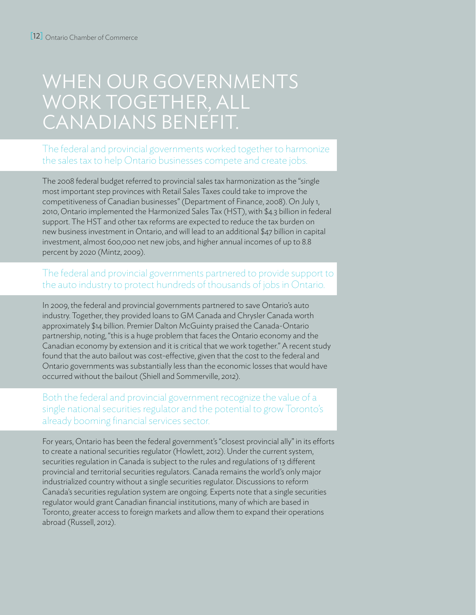# WHEN OUR GOVERNMENTS work together, all Canadians benefit.

#### The federal and provincial governments worked together to harmonize the sales tax to help Ontario businesses compete and create jobs.

The 2008 federal budget referred to provincial sales tax harmonization as the "single most important step provinces with Retail Sales Taxes could take to improve the competitiveness of Canadian businesses" (Department of Finance, 2008). On July 1, 2010, Ontario implemented the Harmonized Sales Tax (HST), with \$4.3 billion in federal support. The HST and other tax reforms are expected to reduce the tax burden on new business investment in Ontario, and will lead to an additional \$47 billion in capital investment, almost 600,000 net new jobs, and higher annual incomes of up to 8.8 percent by 2020 (Mintz, 2009).

#### The federal and provincial governments partnered to provide support to the auto industry to protect hundreds of thousands of jobs in Ontario.

In 2009, the federal and provincial governments partnered to save Ontario's auto industry. Together, they provided loans to GM Canada and Chrysler Canada worth approximately \$14 billion. Premier Dalton McGuinty praised the Canada-Ontario partnership, noting, "this is a huge problem that faces the Ontario economy and the Canadian economy by extension and it is critical that we work together." A recent study found that the auto bailout was cost-effective, given that the cost to the federal and Ontario governments was substantially less than the economic losses that would have occurred without the bailout (Shiell and Sommerville, 2012).

#### Both the federal and provincial government recognize the value of a single national securities regulator and the potential to grow Toronto's already booming financial services sector.

For years, Ontario has been the federal government's "closest provincial ally" in its efforts to create a national securities regulator (Howlett, 2012). Under the current system, securities regulation in Canada is subject to the rules and regulations of 13 different provincial and territorial securities regulators. Canada remains the world's only major industrialized country without a single securities regulator. Discussions to reform Canada's securities regulation system are ongoing. Experts note that a single securities regulator would grant Canadian financial institutions, many of which are based in Toronto, greater access to foreign markets and allow them to expand their operations abroad (Russell, 2012).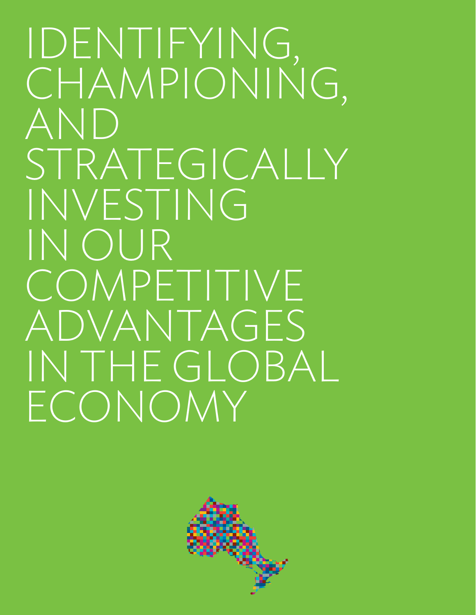IDENTIFYING, CHAMPIONING, AND STRATEGICALLY INVESTING IN OUR COMPETITIVE ADVANTAGES IN THE GLOBAL ECONOMY

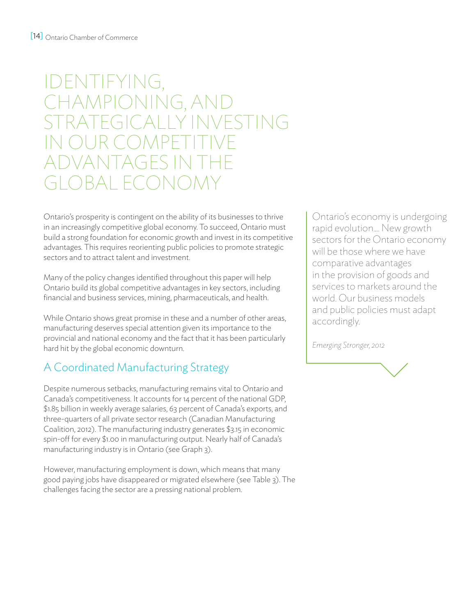# IDENTIFYING, CHAMPIONING, AND STRATEGICALLY INVESTING IN OUR COMPETITIVE INANTAGES II BAL ECONOM

Ontario's prosperity is contingent on the ability of its businesses to thrive in an increasingly competitive global economy. To succeed, Ontario must build a strong foundation for economic growth and invest in its competitive advantages. This requires reorienting public policies to promote strategic sectors and to attract talent and investment.

Many of the policy changes identified throughout this paper will help Ontario build its global competitive advantages in key sectors, including financial and business services, mining, pharmaceuticals, and health.

While Ontario shows great promise in these and a number of other areas, manufacturing deserves special attention given its importance to the provincial and national economy and the fact that it has been particularly hard hit by the global economic downturn.

## A Coordinated Manufacturing Strategy

Despite numerous setbacks, manufacturing remains vital to Ontario and Canada's competitiveness. It accounts for 14 percent of the national GDP, \$1.85 billion in weekly average salaries, 63 percent of Canada's exports, and three-quarters of all private sector research (Canadian Manufacturing Coalition, 2012). The manufacturing industry generates \$3.15 in economic spin-off for every \$1.00 in manufacturing output. Nearly half of Canada's manufacturing industry is in Ontario (see Graph 3).

However, manufacturing employment is down, which means that many good paying jobs have disappeared or migrated elsewhere (see Table 3). The challenges facing the sector are a pressing national problem.

Ontario's economy is undergoing rapid evolution.... New growth sectors for the Ontario economy will be those where we have comparative advantages in the provision of goods and services to markets around the world. Our business models and public policies must adapt accordingly.

*Emerging Stronger, 2012*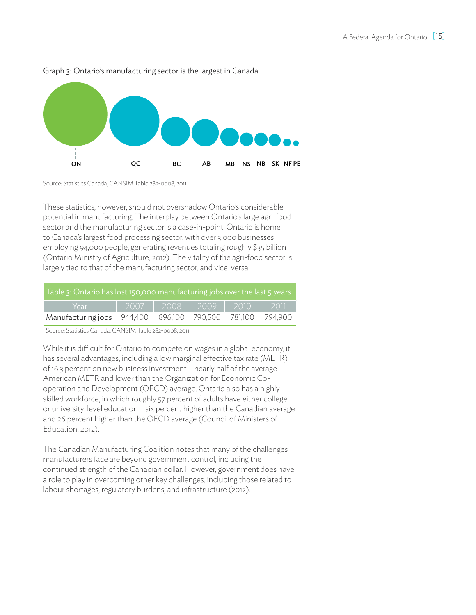

#### Graph 3: Ontario's manufacturing sector is the largest in Canada

Source: Statistics Canada, CANSIM Table 282-0008, 2011

These statistics, however, should not overshadow Ontario's considerable potential in manufacturing. The interplay between Ontario's large agri-food sector and the manufacturing sector is a case-in-point. Ontario is home to Canada's largest food processing sector, with over 3,000 businesses employing 94,000 people, generating revenues totaling roughly \$35 billion (Ontario Ministry of Agriculture, 2012). The vitality of the agri-food sector is largely tied to that of the manufacturing sector, and vice-versa.

| Table 3: Ontario has lost 150,000 manufacturing jobs over the last 5 years |                                 |  |  |         |
|----------------------------------------------------------------------------|---------------------------------|--|--|---------|
| Year                                                                       | 2007   2008   2009   2010       |  |  | - 2011' |
| Manufacturing jobs                                                         | 944,400 896,100 790,500 781,100 |  |  | 794.900 |

Source: Statistics Canada, CANSIM Table 282-0008, 2011.

While it is difficult for Ontario to compete on wages in a global economy, it has several advantages, including a low marginal effective tax rate (METR) of 16.3 percent on new business investment—nearly half of the average American METR and lower than the Organization for Economic Cooperation and Development (OECD) average. Ontario also has a highly skilled workforce, in which roughly 57 percent of adults have either collegeor university-level education—six percent higher than the Canadian average and 26 percent higher than the OECD average (Council of Ministers of Education, 2012).

The Canadian Manufacturing Coalition notes that many of the challenges manufacturers face are beyond government control, including the continued strength of the Canadian dollar. However, government does have a role to play in overcoming other key challenges, including those related to labour shortages, regulatory burdens, and infrastructure (2012).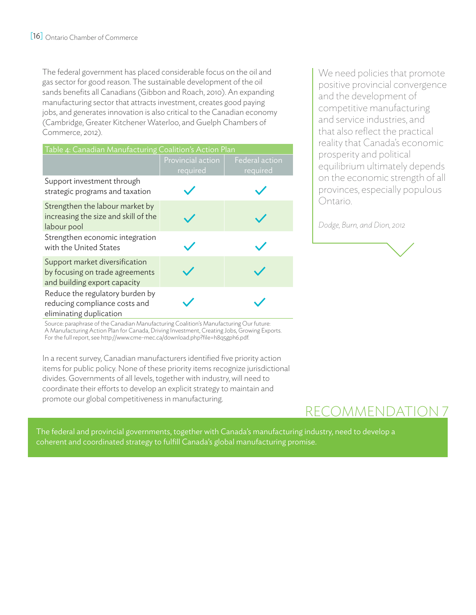The federal government has placed considerable focus on the oil and gas sector for good reason. The sustainable development of the oil sands benefits all Canadians (Gibbon and Roach, 2010). An expanding manufacturing sector that attracts investment, creates good paying jobs, and generates innovation is also critical to the Canadian economy (Cambridge, Greater Kitchener Waterloo, and Guelph Chambers of Commerce, 2012).

| Table 4: Canadian Manufacturing Coalition's Action Plan                                           |                               |                            |  |
|---------------------------------------------------------------------------------------------------|-------------------------------|----------------------------|--|
|                                                                                                   | Provincial action<br>required | Federal action<br>required |  |
| Support investment through<br>strategic programs and taxation                                     |                               |                            |  |
| Strengthen the labour market by<br>increasing the size and skill of the<br>labour pool            |                               |                            |  |
| Strengthen economic integration<br>with the United States                                         |                               |                            |  |
| Support market diversification<br>by focusing on trade agreements<br>and building export capacity |                               |                            |  |
| Reduce the regulatory burden by<br>reducing compliance costs and<br>eliminating duplication       |                               |                            |  |

We need policies that promote positive provincial convergence and the development of competitive manufacturing and service industries, and that also reflect the practical reality that Canada's economic prosperity and political equilibrium ultimately depends on the economic strength of all provinces, especially populous Ontario.

*Dodge, Burn, and Dion, 2012*

Source: paraphrase of the Canadian Manufacturing Coalition's Manufacturing Our future: A Manufacturing Action Plan for Canada, Driving Investment, Creating Jobs, Growing Exports. For the full report, see http://www.cme-mec.ca/download.php?file=h8q5gph6.pdf.

In a recent survey, Canadian manufacturers identified five priority action items for public policy. None of these priority items recognize jurisdictional divides. Governments of all levels, together with industry, will need to coordinate their efforts to develop an explicit strategy to maintain and promote our global competitiveness in manufacturing.

# REcommendation 7

The federal and provincial governments, together with Canada's manufacturing industry, need to develop a coherent and coordinated strategy to fulfill Canada's global manufacturing promise.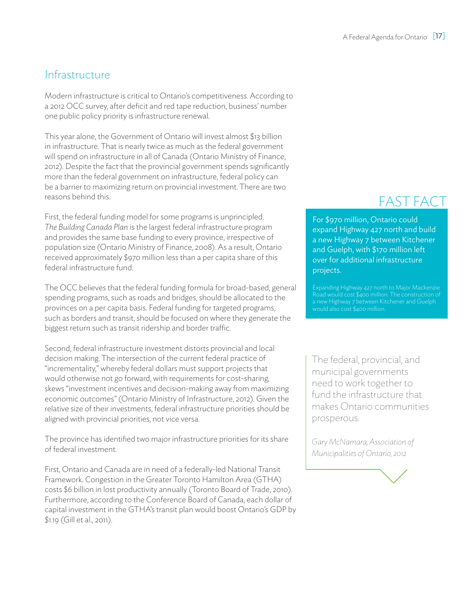### **Infrastructure**

Modern infrastructure is critical to Ontario's competitiveness. According to a 2012 OCC survey, after deficit and red tape reduction, business' number one public policy priority is infrastructure renewal.

This year alone, the Government of Ontario will invest almost \$13 billion in infrastructure. That is nearly twice as much as the federal government will spend on infrastructure in all of Canada (Ontario Ministry of Finance, 2012). Despite the fact that the provincial government spends significantly more than the federal government on infrastructure, federal policy can be a barrier to maximizing return on provincial investment. There are two reasons behind this.

First, the federal funding model for some programs is unprincipled. *The Building Canada Plan* is the largest federal infrastructure program and provides the same base funding to every province, irrespective of population size (Ontario Ministry of Finance, 2008). As a result, Ontario received approximately \$970 million less than a per capita share of this federal infrastructure fund.

The OCC believes that the federal funding formula for broad-based, general spending programs, such as roads and bridges, should be allocated to the provinces on a per capita basis. Federal funding for targeted programs, such as borders and transit, should be focused on where they generate the biggest return such as transit ridership and border traffic.

Second, federal infrastructure investment distorts provincial and local decision making. The intersection of the current federal practice of "incrementality," whereby federal dollars must support projects that would otherwise not go forward, with requirements for cost-sharing, skews "investment incentives and decision-making away from maximizing economic outcomes" (Ontario Ministry of Infrastructure, 2012). Given the relative size of their investments, federal infrastructure priorities should be aligned with provincial priorities, not vice versa.

The province has identified two major infrastructure priorities for its share of federal investment.

First, Ontario and Canada are in need of a federally-led National Transit Framework. Congestion in the Greater Toronto Hamilton Area (GTHA) costs \$6 billion in lost productivity annually (Toronto Board of Trade, 2010). Furthermore, according to the Conference Board of Canada, each dollar of capital investment in the GTHA's transit plan would boost Ontario's GDP by \$1.19 (Gill et al., 2011).

# FAST FACT

For \$970 million, Ontario could expand Highway 427 north and build a new Highway 7 between Kitchener and Guelph, with \$170 million left over for additional infrastructure projects.

a new Highway 7 between Kitchener and Guelph would also cost \$400 million.

The federal, provincial, and municipal governments need to work together to fund the infrastructure that makes Ontario communities prosperous.

*Gary McNamara, Association of Municipalities of Ontario, 2012*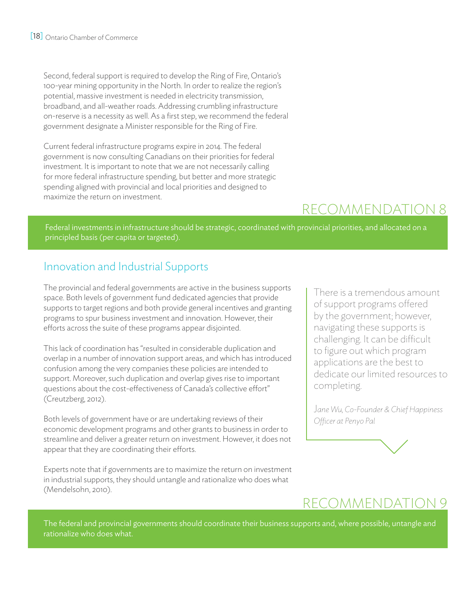Second, federal support is required to develop the Ring of Fire, Ontario's 100-year mining opportunity in the North. In order to realize the region's potential, massive investment is needed in electricity transmission, broadband, and all-weather roads. Addressing crumbling infrastructure on-reserve is a necessity as well. As a first step, we recommend the federal government designate a Minister responsible for the Ring of Fire.

Current federal infrastructure programs expire in 2014. The federal government is now consulting Canadians on their priorities for federal investment. It is important to note that we are not necessarily calling for more federal infrastructure spending, but better and more strategic spending aligned with provincial and local priorities and designed to maximize the return on investment.

# REcommendation 8

Federal investments in infrastructure should be strategic, coordinated with provincial priorities, and allocated on a principled basis (per capita or targeted).

## Innovation and Industrial Supports

The provincial and federal governments are active in the business supports space. Both levels of government fund dedicated agencies that provide supports to target regions and both provide general incentives and granting programs to spur business investment and innovation. However, their efforts across the suite of these programs appear disjointed.

This lack of coordination has "resulted in considerable duplication and overlap in a number of innovation support areas, and which has introduced confusion among the very companies these policies are intended to support. Moreover, such duplication and overlap gives rise to important questions about the cost-effectiveness of Canada's collective effort" (Creutzberg, 2012).

Both levels of government have or are undertaking reviews of their economic development programs and other grants to business in order to streamline and deliver a greater return on investment. However, it does not appear that they are coordinating their efforts.

Experts note that if governments are to maximize the return on investment in industrial supports, they should untangle and rationalize who does what (Mendelsohn, 2010).

There is a tremendous amount of support programs offered by the government; however, navigating these supports is challenging. It can be difficult to figure out which program applications are the best to dedicate our limited resources to completing.

J*ane Wu, Co-Founder & Chief Happiness Officer at Penyo Pal*

# recommendation 9

The federal and provincial governments should coordinate their business supports and, where possible, untangle and rationalize who does what.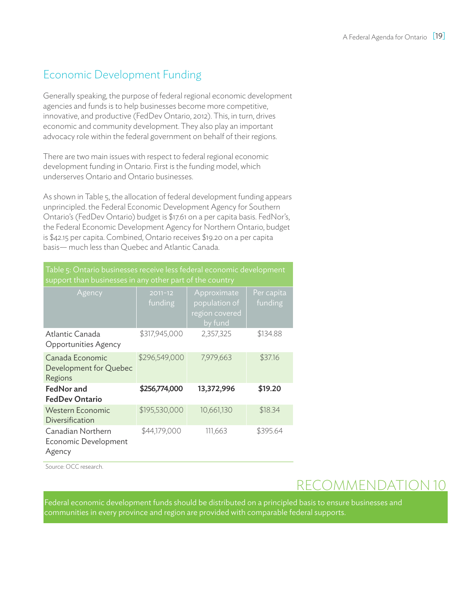### Economic Development Funding

Generally speaking, the purpose of federal regional economic development agencies and funds is to help businesses become more competitive, innovative, and productive (FedDev Ontario, 2012). This, in turn, drives economic and community development. They also play an important advocacy role within the federal government on behalf of their regions.

There are two main issues with respect to federal regional economic development funding in Ontario. First is the funding model, which underserves Ontario and Ontario businesses.

As shown in Table 5, the allocation of federal development funding appears unprincipled. the Federal Economic Development Agency for Southern Ontario's (FedDev Ontario) budget is \$17.61 on a per capita basis. FedNor's, the Federal Economic Development Agency for Northern Ontario, budget is \$42.15 per capita. Combined, Ontario receives \$19.20 on a per capita basis— much less than Quebec and Atlantic Canada.

Table 5: Ontario businesses receive less federal economic development support than businesses in any other part of the country

| Agency                                               | $2011 - 12$<br>funding | Approximate<br>population of<br>region covered<br>by fund | Per capita<br>funding |
|------------------------------------------------------|------------------------|-----------------------------------------------------------|-----------------------|
| Atlantic Canada<br>Opportunities Agency              | \$317,945,000          | 2,357,325                                                 | \$134.88              |
| Canada Economic<br>Development for Quebec<br>Regions | \$296,549,000          | 7,979,663                                                 | \$37.16               |
| FedNor and<br><b>FedDev Ontario</b>                  | \$256,774,000          | 13,372,996                                                | \$19.20               |
| <b>Western Economic</b><br>Diversification           | \$195,530,000          | 10,661,130                                                | \$18.34               |
| Canadian Northern<br>Economic Development<br>Agency  | \$44,179,000           | 111,663                                                   | \$395.64              |

Source: OCC research.

# REcommendation 10

Federal economic development funds should be distributed on a principled basis to ensure businesses and communities in every province and region are provided with comparable federal supports.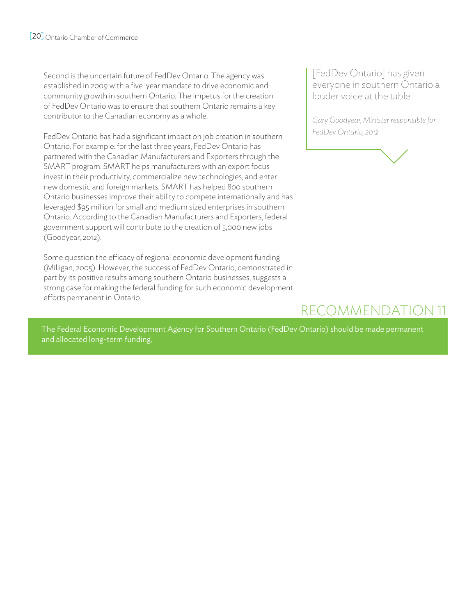Second is the uncertain future of FedDev Ontario. The agency was established in 2009 with a five-year mandate to drive economic and community growth in southern Ontario. The impetus for the creation of FedDev Ontario was to ensure that southern Ontario remains a key contributor to the Canadian economy as a whole.

FedDev Ontario has had a significant impact on job creation in southern Ontario. For example: for the last three years, FedDev Ontario has partnered with the Canadian Manufacturers and Exporters through the SMART program. SMART helps manufacturers with an export focus invest in their productivity, commercialize new technologies, and enter new domestic and foreign markets. SMART has helped 800 southern Ontario businesses improve their ability to compete internationally and has leveraged \$95 million for small and medium sized enterprises in southern Ontario. According to the Canadian Manufacturers and Exporters, federal government support will contribute to the creation of 5,000 new jobs (Goodyear, 2012).

Some question the efficacy of regional economic development funding (Milligan, 2005). However, the success of FedDev Ontario, demonstrated in part by its positive results among southern Ontario businesses, suggests a strong case for making the federal funding for such economic development efforts permanent in Ontario.

[FedDev Ontario] has given everyone in southern Ontario a louder voice at the table.

*Gary Goodyear, Minister responsible for FedDev Ontario, 2012*

# recommendation 11

The Federal Economic Development Agency for Southern Ontario (FedDev Ontario) should be made permanent and allocated long-term funding.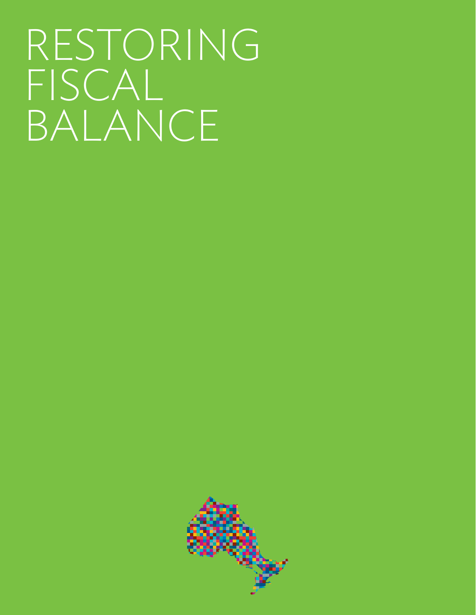# RESTORING FISCAL BALANCE

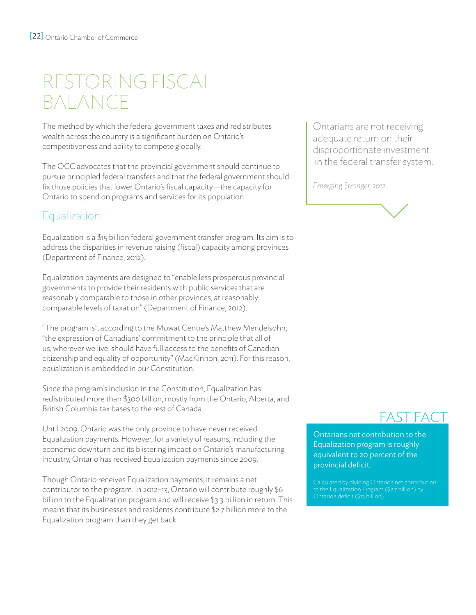# RESTORING FISCAL BALANCE

The method by which the federal government taxes and redistributes wealth across the country is a significant burden on Ontario's competitiveness and ability to compete globally.

The OCC advocates that the provincial government should continue to pursue principled federal transfers and that the federal government should fix those policies that lower Ontario's fiscal capacity—the capacity for Ontario to spend on programs and services for its population.

## **Equalization**

Equalization is a \$15 billion federal government transfer program. Its aim is to address the disparities in revenue raising (fiscal) capacity among provinces (Department of Finance, 2012).

Equalization payments are designed to "enable less prosperous provincial governments to provide their residents with public services that are reasonably comparable to those in other provinces, at reasonably comparable levels of taxation" (Department of Finance, 2012).

"The program is", according to the Mowat Centre's Matthew Mendelsohn, "the expression of Canadians' commitment to the principle that all of us, wherever we live, should have full access to the benefits of Canadian citizenship and equality of opportunity" (MacKinnon, 2011). For this reason, equalization is embedded in our Constitution.

Since the program's inclusion in the Constitution, Equalization has redistributed more than \$300 billion, mostly from the Ontario, Alberta, and British Columbia tax bases to the rest of Canada.

Until 2009, Ontario was the only province to have never received Equalization payments. However, for a variety of reasons, including the economic downturn and its blistering impact on Ontario's manufacturing industry, Ontario has received Equalization payments since 2009.

Though Ontario receives Equalization payments, it remains a net contributor to the program. In 2012–13, Ontario will contribute roughly \$6 billion to the Equalization program and will receive \$3.3 billion in return. This means that its businesses and residents contribute \$2.7 billion more to the Equalization program than they get back.

Ontarians are not receiving adequate return on their disproportionate investment in the federal transfer system.

*Emerging Stronger, 2012*



# FAST FACT

Ontarians net contribution to the Equalization program is roughly equivalent to 20 percent of the provincial deficit.

to the Equalization Program (\$2.7 billion) by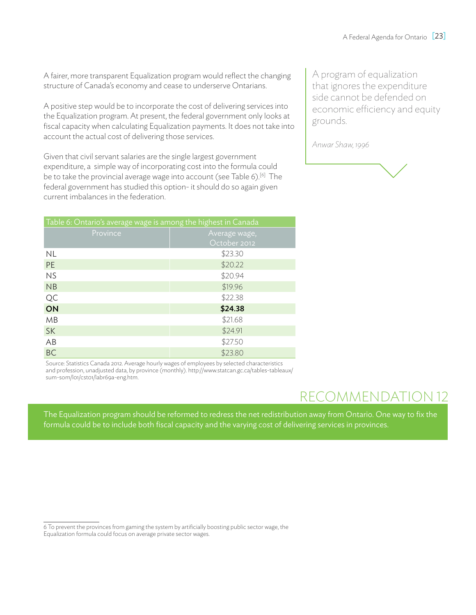A fairer, more transparent Equalization program would reflect the changing structure of Canada's economy and cease to underserve Ontarians.

A positive step would be to incorporate the cost of delivering services into the Equalization program. At present, the federal government only looks at fiscal capacity when calculating Equalization payments. It does not take into account the actual cost of delivering those services.

Given that civil servant salaries are the single largest government expenditure, a simple way of incorporating cost into the formula could be to take the provincial average wage into account (see Table 6).<sup>[6]</sup> The federal government has studied this option- it should do so again given current imbalances in the federation.

| Table 6: Ontario's average wage is among the highest in Canada |               |  |  |
|----------------------------------------------------------------|---------------|--|--|
| Province                                                       | Average wage, |  |  |
|                                                                | October 2012  |  |  |
| <b>NL</b>                                                      | \$23.30       |  |  |
| <b>PE</b>                                                      | \$20.22       |  |  |
| <b>NS</b>                                                      | \$20.94       |  |  |
| NB                                                             | \$19.96       |  |  |
| QC                                                             | \$22.38       |  |  |
| ON                                                             | \$24.38       |  |  |
| MB                                                             | \$21.68       |  |  |
| <b>SK</b>                                                      | \$24.91       |  |  |
| AB                                                             | \$27.50       |  |  |
| <b>BC</b>                                                      | \$23.80       |  |  |

Source: Statistics Canada 2012. Average hourly wages of employees by selected characteristics and profession, unadjusted data, by province (monthly). http://www.statcan.gc.ca/tables-tableaux/ sum-som/l01/cst01/labr69a-eng.htm.

A program of equalization that ignores the expenditure side cannot be defended on economic efficiency and equity grounds.

*Anwar Shaw, 1996*

# recommendation 12

The Equalization program should be reformed to redress the net redistribution away from Ontario. One way to fix the formula could be to include both fiscal capacity and the varying cost of delivering services in provinces.

<sup>6</sup> To prevent the provinces from gaming the system by artificially boosting public sector wage, the Equalization formula could focus on average private sector wages.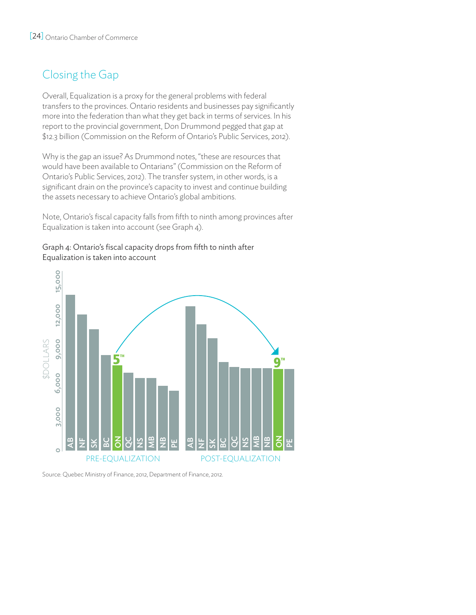# Closing the Gap

Overall, Equalization is a proxy for the general problems with federal transfers to the provinces. Ontario residents and businesses pay significantly more into the federation than what they get back in terms of services. In his report to the provincial government, Don Drummond pegged that gap at \$12.3 billion (Commission on the Reform of Ontario's Public Services, 2012).

Why is the gap an issue? As Drummond notes, "these are resources that would have been available to Ontarians" (Commission on the Reform of Ontario's Public Services, 2012). The transfer system, in other words, is a significant drain on the province's capacity to invest and continue building the assets necessary to achieve Ontario's global ambitions.

Note, Ontario's fiscal capacity falls from fifth to ninth among provinces after Equalization is taken into account (see Graph 4).

#### Graph 4: Ontario's fiscal capacity drops from fifth to ninth after Equalization is taken into account

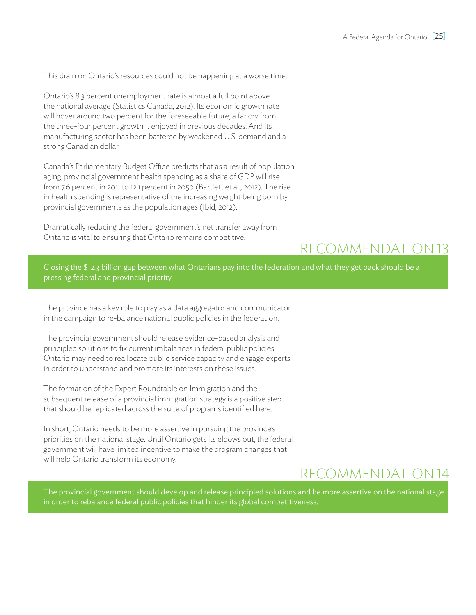This drain on Ontario's resources could not be happening at a worse time.

Ontario's 8.3 percent unemployment rate is almost a full point above the national average (Statistics Canada, 2012). Its economic growth rate will hover around two percent for the foreseeable future; a far cry from the three-four percent growth it enjoyed in previous decades. And its manufacturing sector has been battered by weakened U.S. demand and a strong Canadian dollar.

Canada's Parliamentary Budget Office predicts that as a result of population aging, provincial government health spending as a share of GDP will rise from 7.6 percent in 2011 to 12.1 percent in 2050 (Bartlett et al., 2012). The rise in health spending is representative of the increasing weight being born by provincial governments as the population ages (Ibid, 2012).

Dramatically reducing the federal government's net transfer away from Ontario is vital to ensuring that Ontario remains competitive.

# recommendation 13

Closing the \$12.3 billion gap between what Ontarians pay into the federation and what they get back should be a pressing federal and provincial priority.

The province has a key role to play as a data aggregator and communicator in the campaign to re-balance national public policies in the federation.

The provincial government should release evidence-based analysis and principled solutions to fix current imbalances in federal public policies. Ontario may need to reallocate public service capacity and engage experts in order to understand and promote its interests on these issues.

The formation of the Expert Roundtable on Immigration and the subsequent release of a provincial immigration strategy is a positive step that should be replicated across the suite of programs identified here.

In short, Ontario needs to be more assertive in pursuing the province's priorities on the national stage. Until Ontario gets its elbows out, the federal government will have limited incentive to make the program changes that will help Ontario transform its economy.

# REcommendation 14

The provincial government should develop and release principled solutions and be more assertive on the national stage in order to rebalance federal public policies that hinder its global competitiveness.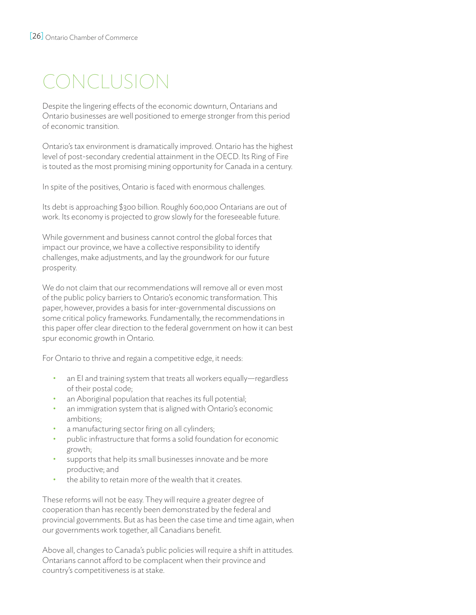# CONCLUSION

Despite the lingering effects of the economic downturn, Ontarians and Ontario businesses are well positioned to emerge stronger from this period of economic transition.

Ontario's tax environment is dramatically improved. Ontario has the highest level of post-secondary credential attainment in the OECD. Its Ring of Fire is touted as the most promising mining opportunity for Canada in a century.

In spite of the positives, Ontario is faced with enormous challenges.

Its debt is approaching \$300 billion. Roughly 600,000 Ontarians are out of work. Its economy is projected to grow slowly for the foreseeable future.

While government and business cannot control the global forces that impact our province, we have a collective responsibility to identify challenges, make adjustments, and lay the groundwork for our future prosperity.

We do not claim that our recommendations will remove all or even most of the public policy barriers to Ontario's economic transformation. This paper, however, provides a basis for inter-governmental discussions on some critical policy frameworks. Fundamentally, the recommendations in this paper offer clear direction to the federal government on how it can best spur economic growth in Ontario.

For Ontario to thrive and regain a competitive edge, it needs:

- $\,$  an EI and training system that treats all workers equally—regardless of their postal code;
- an Aboriginal population that reaches its full potential;
- an immigration system that is aligned with Ontario's economic ambitions;
- a manufacturing sector firing on all cylinders;
- public infrastructure that forms a solid foundation for economic growth;
- supports that help its small businesses innovate and be more productive; and
- the ability to retain more of the wealth that it creates.

These reforms will not be easy. They will require a greater degree of cooperation than has recently been demonstrated by the federal and provincial governments. But as has been the case time and time again, when our governments work together, all Canadians benefit.

Above all, changes to Canada's public policies will require a shift in attitudes. Ontarians cannot afford to be complacent when their province and country's competitiveness is at stake.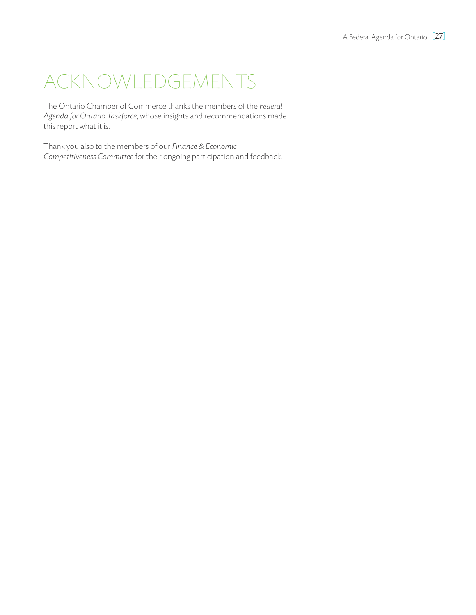# ACKNOWLEDGEMENTS

The Ontario Chamber of Commerce thanks the members of the *Federal Agenda for Ontario Taskforce*, whose insights and recommendations made this report what it is.

Thank you also to the members of our *Finance & Economic Competitiveness Committee* for their ongoing participation and feedback.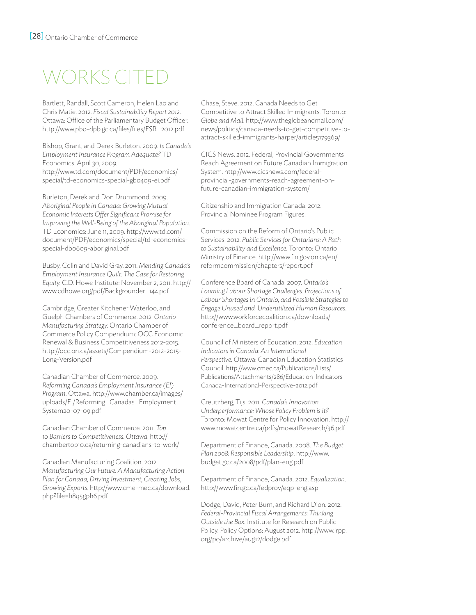# WORKS CITEI

Bartlett, Randall, Scott Cameron, Helen Lao and Chris Matie. 2012. *Fiscal Sustainability Report 2012*. Ottawa: Office of the Parliamentary Budget Officer. http://www.pbo-dpb.gc.ca/files/files/FSR\_2012.pdf

Bishop, Grant, and Derek Burleton. 2009. *Is Canada's Employment Insurance Program Adequate?* TD Economics: April 30, 2009. http://www.td.com/document/PDF/economics/ special/td-economics-special-gb0409-ei.pdf

Burleton, Derek and Don Drummond. 2009. *Aboriginal People in Canada: Growing Mutual Economic Interests Offer Significant Promise for Improving the Well-Being of the Aboriginal Population*. TD Economics: June 11, 2009. http://www.td.com/ document/PDF/economics/special/td-economicsspecial-db0609-aboriginal.pdf

Busby, Colin and David Gray. 2011. *Mending Canada's Employment Insurance Quilt: The Case for Restoring Equity.* C.D. Howe Institute: November 2, 2011. http:// www.cdhowe.org/pdf/Backgrounder\_144.pdf

Cambridge, Greater Kitchener Waterloo, and Guelph Chambers of Commerce. 2012. *Ontario Manufacturing Strategy.* Ontario Chamber of Commerce Policy Compendium: OCC Economic Renewal & Business Competitiveness 2012-2015. http://occ.on.ca/assets/Compendium-2012-2015- Long-Version.pdf

Canadian Chamber of Commerce. 2009. *Reforming Canada's Employment Insurance (EI) Program*. Ottawa. http://www.chamber.ca/images/ uploads/EI/Reforming\_Canadas\_Employment\_ System20-07-09.pdf

Canadian Chamber of Commerce. 2011. *Top 10 Barriers to Competitiveness. Ottawa*. http:// chambertop10.ca/returning-canadians-to-work/

Canadian Manufacturing Coalition. 2012. *Manufacturing Our Future: A Manufacturing Action Plan for Canada, Driving Investment, Creating Jobs, Growing Exports.* http://www.cme-mec.ca/download. php?file=h8q5gph6.pdf

Chase, Steve. 2012. Canada Needs to Get Competitive to Attract Skilled Immigrants*.* Toronto: *Globe and Mail*. http://www.theglobeandmail.com/ news/politics/canada-needs-to-get-competitive-toattract-skilled-immigrants-harper/article5179369/

CICS News. 2012. Federal, Provincial Governments Reach Agreement on Future Canadian Immigration System. http://www.cicsnews.com/federalprovincial-governments-reach-agreement-onfuture-canadian-immigration-system/

Citizenship and Immigration Canada. 2012. Provincial Nominee Program Figures.

Commission on the Reform of Ontario's Public Services. 2012. *Public Services for Ontarians: A Path to Sustainability and Excellence.* Toronto: Ontario Ministry of Finance. http://www.fin.gov.on.ca/en/ reformcommission/chapters/report.pdf

Conference Board of Canada. 2007. *Ontario's Looming Labour Shortage Challenges. Projections of Labour Shortages in Ontario, and Possible Strategies to Engage Unused and Underutilized Human Resources*. http://www.workforcecoalition.ca/downloads/ conference\_board\_report.pdf

Council of Ministers of Education. 2012. *Education Indicators in Canada: An International Perspective*. Ottawa: Canadian Education Statistics Council. http://www.cmec.ca/Publications/Lists/ Publications/Attachments/286/Education-Indicators-Canada-International-Perspective-2012.pdf

Creutzberg, Tijs. 2011. *Canada's Innovation Underperformance: Whose Policy Problem is it?*  Toronto: Mowat Centre for Policy Innovation. http:// www.mowatcentre.ca/pdfs/mowatResearch/36.pdf

Department of Finance, Canada. 2008. *The Budget Plan 2008: Responsible Leadership*. http://www. budget.gc.ca/2008/pdf/plan-eng.pdf

Department of Finance, Canada. 2012. *Equalization*. http://www.fin.gc.ca/fedprov/eqp-eng.asp

Dodge, David, Peter Burn, and Richard Dion. 2012. *Federal-Provincial Fiscal Arrangements: Thinking Outside the Box.* Institute for Research on Public Policy. Policy Options: August 2012. http://www.irpp. org/po/archive/aug12/dodge.pdf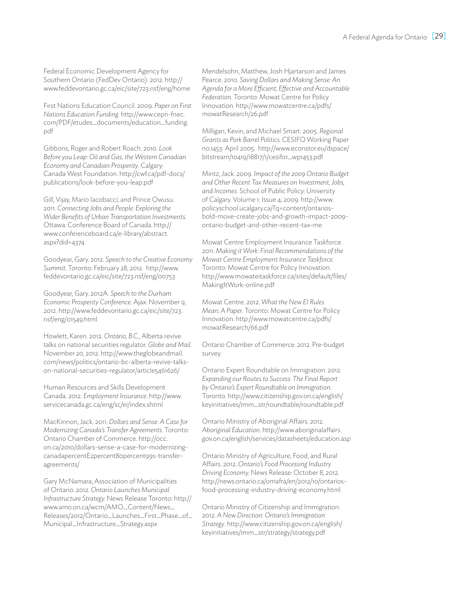Federal Economic Development Agency for Southern Ontario (FedDev Ontario). 2012. http:// www.feddevontario.gc.ca/eic/site/723.nsf/eng/home

First Nations Education Council. 2009. *Paper on First Nations Education Funding.* http://www.cepn-fnec. com/PDF/etudes\_documents/education\_funding. pdf

Gibbons, Roger and Robert Roach. 2010. *Look Before you Leap: Oil and Gas*, *the Western Canadian Economy and Canadian Prosperity*. Calgary: Canada West Foundation. http://cwf.ca/pdf-docs/ publications/look-before-you-leap.pdf

Gill, Vijay, Mario Iacobacci, and Prince Owusu. 2011. *Connecting Jobs and People: Exploring the Wider Benefits of Urban Transportation Investments.*  Ottawa: Conference Board of Canada. http:// www.conferenceboard.ca/e-library/abstract. aspx?did=4374

Goodyear, Gary. 2012. *Speech to the Creative Economy Summit*. Toronto: February 28, 2012. http://www. feddevontario.gc.ca/eic/site/723.nsf/eng/00753

Goodyear, Gary. 2012A. *Speech to the Durham Economic Prosperity Conference*. Ajax: November 9, 2012. http://www.feddevontario.gc.ca/eic/site/723. nsf/eng/01549.html

Howlett, Karen. 2012. *Ontario, B.C.,* Alberta revive talks on national securities regulator. *Globe and Mail*. November 20, 2012. http://www.theglobeandmail. com/news/politics/ontario-bc-alberta-revive-talkson-national-securities-regulator/article5461626/

Human Resources and Skills Development Canada. 2012. *Employment Insurance*. http://www. servicecanada.gc.ca/eng/sc/ei/index.shtml

MacKinnon, Jack. 2011. *Dollars and Sense: A Case for Modernizing Canada's Transfer Agreements.* Toronto: Ontario Chamber of Commerce. http://occ. on.ca/2010/dollars-sense-a-case-for-modernizingcanadapercentE2percent80percent99s-transferagreements/

Gary McNamara, Association of Municipalities of Ontario. 2012. *Ontario Launches Municipal Infrastructure Strategy.* News Release Toronto: http:// www.amo.on.ca/wcm/AMO\_Content/News\_ Releases/2012/Ontario\_Launches\_First\_Phase\_of\_ Municipal\_Infrastructure\_Strategy.aspx

Mendelsohn, Matthew, Josh Hjartarson and James Pearce. 2010. *Saving Dollars and Making Sense: An Agenda for a More Efficient, Effective and Accountable Federation.* Toronto: Mowat Centre for Policy Innovation. http://www.mowatcentre.ca/pdfs/ mowatResearch/26.pdf

Milligan, Kevin, and Michael Smart. 2005. *Regional Grants as Pork Barrel Politics.* CESIFO Working Paper no.1453: April 2005. http://www.econstor.eu/dspace/ bitstream/10419/18817/1/cesifo1\_wp1453.pdf

Mintz, Jack. 2009. *Impact of the 2009 Ontario Budget and Other Recent Tax Measures on Investment, Jobs, and Incomes*. School of Public Policy: University of Calgary. Volume 1: Issue 4, 2009. http://www. policyschool.ucalgary.ca/?q=content/ontariosbold-move-create-jobs-and-growth-impact-2009 ontario-budget-and-other-recent-tax-me

Mowat Centre Employment Insurance Taskforce. 2011. *Making it Work: Final Recommendations of the Mowat Centre Employment Insurance Taskforce.*  Toronto: Mowat Centre for Policy Innovation. http://www.mowateitaskforce.ca/sites/default/files/ MakingItWork-online.pdf

Mowat Centre. 2012. *What the New EI Rules Mean: A Paper*. Toronto: Mowat Centre for Policy Innovation. http://www.mowatcentre.ca/pdfs/ mowatResearch/66.pdf

Ontario Chamber of Commerce. 2012. Pre-budget survey.

Ontario Expert Roundtable on Immigration. 2012. *Expanding our Routes to Success: The Final Report by Ontario's Expert Roundtable on Immigration*. Toronto. http://www.citizenship.gov.on.ca/english/ keyinitiatives/imm\_str/roundtable/roundtable.pdf

Ontario Ministry of Aboriginal Affairs. 2012. *Aboriginal Education*. http://www.aboriginalaffairs. gov.on.ca/english/services/datasheets/education.asp

Ontario Ministry of Agriculture, Food, and Rural Affairs. 2012. *Ontario's Food Processing Industry Driving Economy.* News Release: October 8, 2012. http://news.ontario.ca/omafra/en/2012/10/ontariosfood-processing-industry-driving-economy.html

Ontario Ministry of Citizenship and Immigration. 2012. *A New Direction: Ontario's Immigration Strategy*. http://www.citizenship.gov.on.ca/english/ keyinitiatives/imm\_str/strategy/strategy.pdf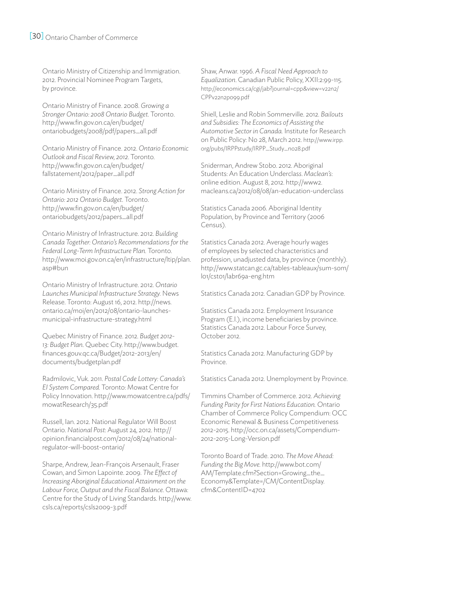Ontario Ministry of Citizenship and Immigration. 2012. Provincial Nominee Program Targets, by province.

Ontario Ministry of Finance. 2008. *Growing a Stronger Ontario: 2008 Ontario Budget*. Toronto. http://www.fin.gov.on.ca/en/budget/ ontariobudgets/2008/pdf/papers\_all.pdf

Ontario Ministry of Finance. 2012. *Ontario Economic Outlook and Fiscal Review, 2012*. Toronto. http://www.fin.gov.on.ca/en/budget/ fallstatement/2012/paper\_all.pdf

Ontario Ministry of Finance. 2012. *Strong Action for Ontario: 2012 Ontario Budget*. Toronto. http://www.fin.gov.on.ca/en/budget/ ontariobudgets/2012/papers\_all.pdf

Ontario Ministry of Infrastructure. 2012. *Building Canada Together: Ontario's Recommendations for the Federal Long-Term Infrastructure Plan.* Toronto. http://www.moi.gov.on.ca/en/infrastructure/ltip/plan. asp#bun

Ontario Ministry of Infrastructure. 2012. *Ontario Launches Municipal Infrastructure Strategy.* News Release. Toronto: August 16, 2012. http://news. ontario.ca/moi/en/2012/08/ontario-launchesmunicipal-infrastructure-strategy.html

Quebec Ministry of Finance. 2012. *Budget 2012- 13: Budget Plan*. Quebec City. http://www.budget. finances.gouv.qc.ca/Budget/2012-2013/en/ documents/budgetplan.pdf

Radmilovic, Vuk. 2011. *Postal Code Lottery: Canada's EI System Compared.* Toronto: Mowat Centre for Policy Innovation. http://www.mowatcentre.ca/pdfs/ mowatResearch/35.pdf

Russell, Ian. 2012. National Regulator Will Boost Ontario*. National Post*: August 24, 2012. http:// opinion.financialpost.com/2012/08/24/nationalregulator-will-boost-ontario/

Sharpe, Andrew, Jean-François Arsenault, Fraser Cowan, and Simon Lapointe. 2009. *The Effect of Increasing Aboriginal Educational Attainment on the Labour Force, Output and the Fiscal Balance*. Ottawa: Centre for the Study of Living Standards. http://www. csls.ca/reports/csls2009-3.pdf

Shaw, Anwar. 1996. *A Fiscal Need Approach to Equalization*. Canadian Public Policy, XXII:2:99-115. http://economics.ca/cgi/jab?journal=cpp&view=v22n2/ CPPv22n2p099.pdf

Shiell, Leslie and Robin Sommerville. 2012. *Bailouts and Subsidies: The Economics of Assisting the Automotive Sector in Canada.* Institute for Research on Public Policy: No 28, March 2012. http://www.irpp. org/pubs/IRPPstudy/IRPP\_Study\_no28.pdf

Sniderman, Andrew Stobo. 2012. Aboriginal Students: An Education Underclas*s*. *Maclean's*: online edition. August 8, 2012. http://www2. macleans.ca/2012/08/08/an-education-underclass

Statistics Canada 2006. Aboriginal Identity Population, by Province and Territory (2006 Census).

Statistics Canada 2012. Average hourly wages of employees by selected characteristics and profession, unadjusted data, by province (monthly). http://www.statcan.gc.ca/tables-tableaux/sum-som/ l01/cst01/labr69a-eng.htm

Statistics Canada 2012. Canadian GDP by Province.

Statistics Canada 2012. Employment Insurance Program (E.I.), income beneficiaries by province. Statistics Canada 2012. Labour Force Survey, October 2012.

Statistics Canada 2012. Manufacturing GDP by Province.

Statistics Canada 2012. Unemployment by Province.

Timmins Chamber of Commerce. 2012. *Achieving Funding Parity for First Nations Education.* Ontario Chamber of Commerce Policy Compendium: OCC Economic Renewal & Business Competitiveness 2012-2015. http://occ.on.ca/assets/Compendium-2012-2015-Long-Version.pdf

Toronto Board of Trade. 2010. *The Move Ahead: Funding the Big Move.* http://www.bot.com/ AM/Template.cfm?Section=Growing\_the\_ Economy&Template=/CM/ContentDisplay. cfm&ContentID=4702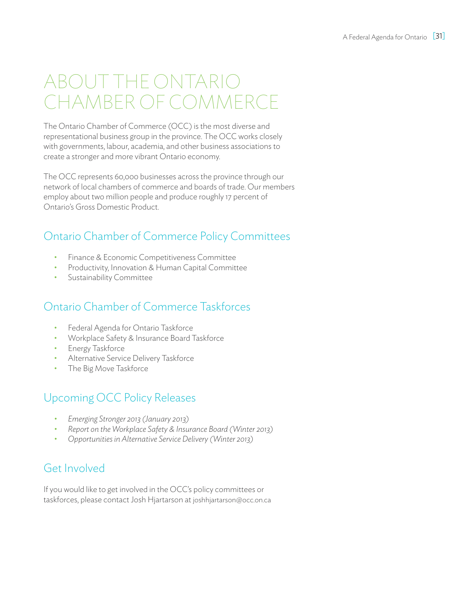# About the Ontario Chamber of Commerce

The Ontario Chamber of Commerce (OCC) is the most diverse and representational business group in the province. The OCC works closely with governments, labour, academia, and other business associations to create a stronger and more vibrant Ontario economy.

The OCC represents 60,000 businesses across the province through our network of local chambers of commerce and boards of trade. Our members employ about two million people and produce roughly 17 percent of Ontario's Gross Domestic Product.

## Ontario Chamber of Commerce Policy Committees

- Finance & Economic Competitiveness Committee
- Productivity, Innovation & Human Capital Committee
- Sustainability Committee

## Ontario Chamber of Commerce Taskforces

- Federal Agenda for Ontario Taskforce
- Workplace Safety & Insurance Board Taskforce
- Energy Taskforce
- • Alternative Service Delivery Taskforce
- The Big Move Taskforce

## Upcoming OCC Policy Releases

- *• Emerging Stronger 2013 (January 2013)*
- *Report on the Workplace Safety & Insurance Board (Winter 2013)*
- *• Opportunities in Alternative Service Delivery (Winter 2013)*

## Get Involved

If you would like to get involved in the OCC's policy committees or taskforces, please contact Josh Hjartarson at joshhjartarson@occ.on.ca